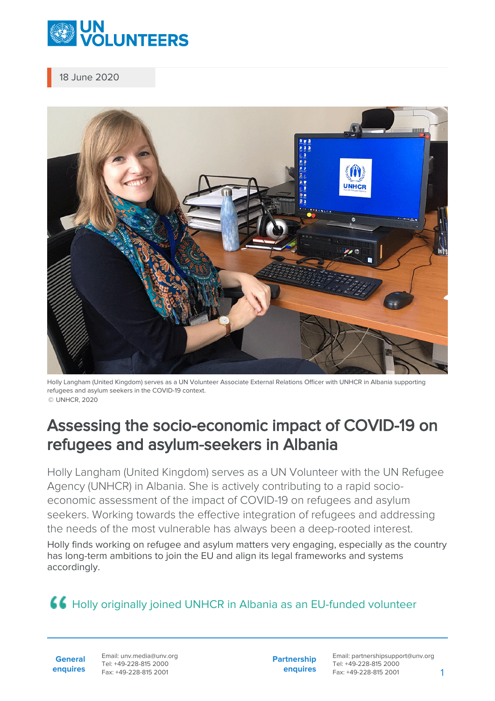

18 June 2020



Holly Langham (United Kingdom) serves as a UN Volunteer Associate External Relations Officer with UNHCR in Albania supporting refugees and asylum seekers in the COVID-19 context. © UNHCR, 2020

## Assessing the socio-economic impact of COVID-19 on refugees and asylum-seekers in Albania

Holly Langham (United Kingdom) serves as a UN Volunteer with the UN Refugee Agency (UNHCR) in Albania. She is actively contributing to a rapid socioeconomic assessment of the impact of COVID-19 on refugees and asylum seekers. Working towards the effective integration of refugees and addressing the needs of the most vulnerable has always been a deep-rooted interest.

Holly finds working on refugee and asylum matters very engaging, especially as the country has long-term ambitions to join the EU and align its legal frameworks and systems accordingly.

## **44 Holly originally joined UNHCR in Albania as an EU-funded volunteer**

**General enquires** Email: unv.media@unv.org Tel: +49-228-815 2000 Fax: +49-228-815 2001

**Partnership enquires** Email: partnershipsupport@unv.org Tel: +49-228-815 2000 Fax: +49-228-815 2001 1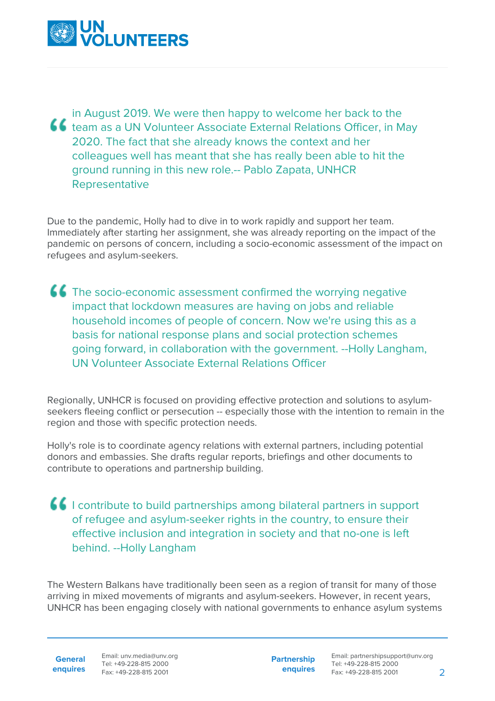

in August 2019. We were then happy to welcome her back to the **46** team as a UN Volunteer Associate External Relations Officer, in May 2020. The fact that she already knows the context and her colleagues well has meant that she has really been able to hit the ground running in this new role.-- Pablo Zapata, UNHCR Representative

Due to the pandemic, Holly had to dive in to work rapidly and support her team. Immediately after starting her assignment, she was already reporting on the impact of the pandemic on persons of concern, including a socio-economic assessment of the impact on refugees and asylum-seekers.

**CC** The socio-economic assessment confirmed the worrying negative impact that lockdown measures are having on jobs and reliable household incomes of people of concern. Now we're using this as a basis for national response plans and social protection schemes going forward, in collaboration with the government. --Holly Langham, UN Volunteer Associate External Relations Officer

Regionally, UNHCR is focused on providing effective protection and solutions to asylumseekers fleeing conflict or persecution -- especially those with the intention to remain in the region and those with specific protection needs.

Holly's role is to coordinate agency relations with external partners, including potential donors and embassies. She drafts regular reports, briefings and other documents to contribute to operations and partnership building.

**I** contribute to build partnerships among bilateral partners in support of refugee and asylum-seeker rights in the country, to ensure their effective inclusion and integration in society and that no-one is left behind. --Holly Langham

The Western Balkans have traditionally been seen as a region of transit for many of those arriving in mixed movements of migrants and asylum-seekers. However, in recent years, UNHCR has been engaging closely with national governments to enhance asylum systems

**General**

**enquires** Tel: +49-228-815 2000 Fax: +49-228-815 2001 Email: unv.media@unv.org<br>Tel: +49-228-815 2000

**Partnership enquires**

Email: partnershipsupport@unv.org Tel: +49-228-815 2000 Fax: +49-228-815 2001 2